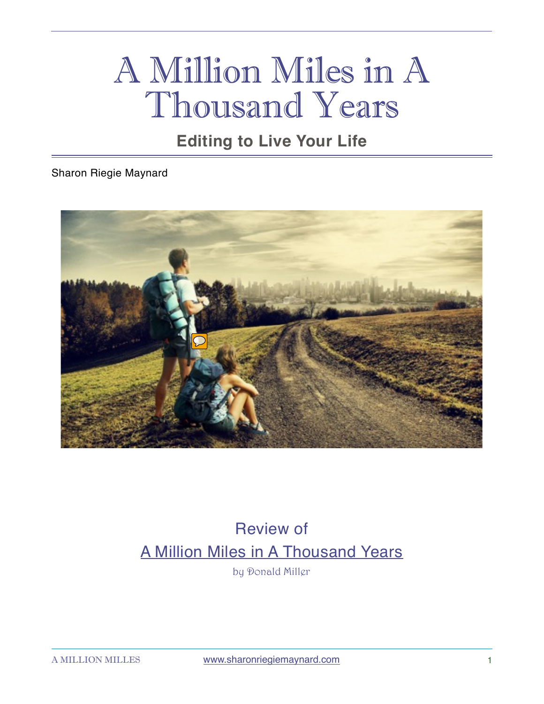# A Million Miles in A Thousand Years

**Editing to Live Your Life**

Sharon Riegie Maynard



# Review of A Million Miles in A Thousand Years

by Donald Miller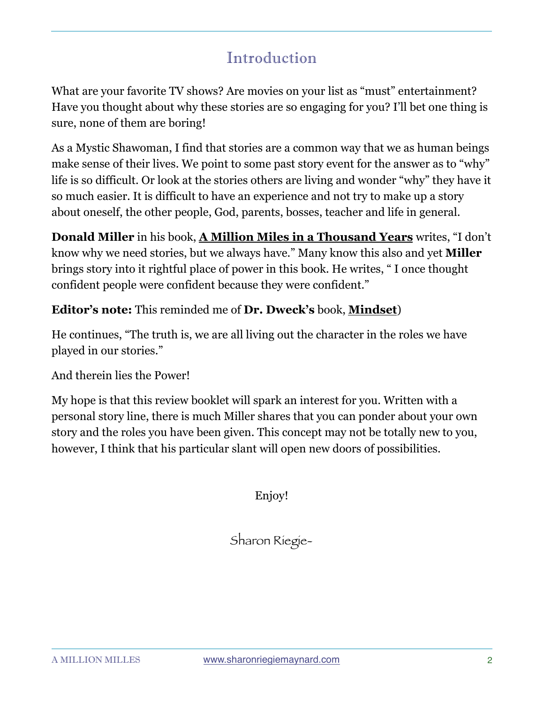# Introduction

What are your favorite TV shows? Are movies on your list as "must" entertainment? Have you thought about why these stories are so engaging for you? I'll bet one thing is sure, none of them are boring!

As a Mystic Shawoman, I find that stories are a common way that we as human beings make sense of their lives. We point to some past story event for the answer as to "why" life is so difficult. Or look at the stories others are living and wonder "why" they have it so much easier. It is difficult to have an experience and not try to make up a story about oneself, the other people, God, parents, bosses, teacher and life in general.

**Donald Miller** in his book, **A Million Miles in a Thousand Years** writes, "I don't know why we need stories, but we always have." Many know this also and yet **Miller** brings story into it rightful place of power in this book. He writes, " I once thought confident people were confident because they were confident."

#### **Editor's note:** This reminded me of **Dr. Dweck's** book, **Mindset**)

He continues, "The truth is, we are all living out the character in the roles we have played in our stories."

#### And therein lies the Power!

My hope is that this review booklet will spark an interest for you. Written with a personal story line, there is much Miller shares that you can ponder about your own story and the roles you have been given. This concept may not be totally new to you, however, I think that his particular slant will open new doors of possibilities.

Enjoy!

Sharon Riegie-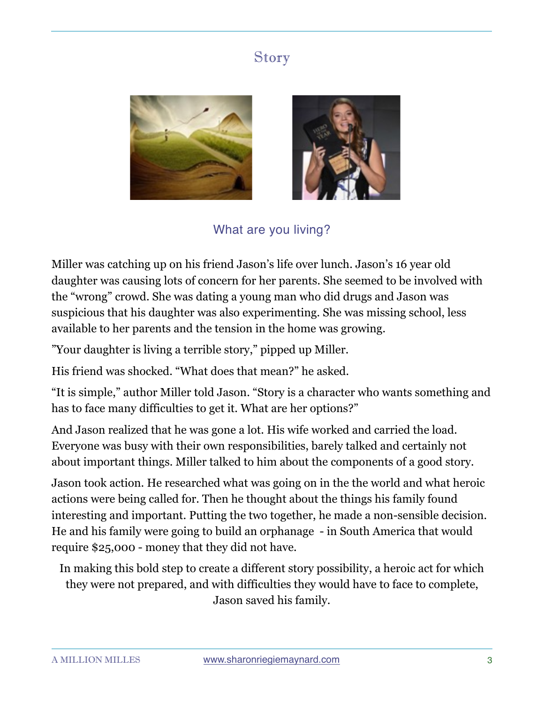## Story



#### What are you living?

Miller was catching up on his friend Jason's life over lunch. Jason's 16 year old daughter was causing lots of concern for her parents. She seemed to be involved with the "wrong" crowd. She was dating a young man who did drugs and Jason was suspicious that his daughter was also experimenting. She was missing school, less available to her parents and the tension in the home was growing.

"Your daughter is living a terrible story," pipped up Miller.

His friend was shocked. "What does that mean?" he asked.

"It is simple," author Miller told Jason. "Story is a character who wants something and has to face many difficulties to get it. What are her options?"

And Jason realized that he was gone a lot. His wife worked and carried the load. Everyone was busy with their own responsibilities, barely talked and certainly not about important things. Miller talked to him about the components of a good story.

Jason took action. He researched what was going on in the the world and what heroic actions were being called for. Then he thought about the things his family found interesting and important. Putting the two together, he made a non-sensible decision. He and his family were going to build an orphanage - in South America that would require \$25,000 - money that they did not have.

In making this bold step to create a different story possibility, a heroic act for which they were not prepared, and with difficulties they would have to face to complete, Jason saved his family.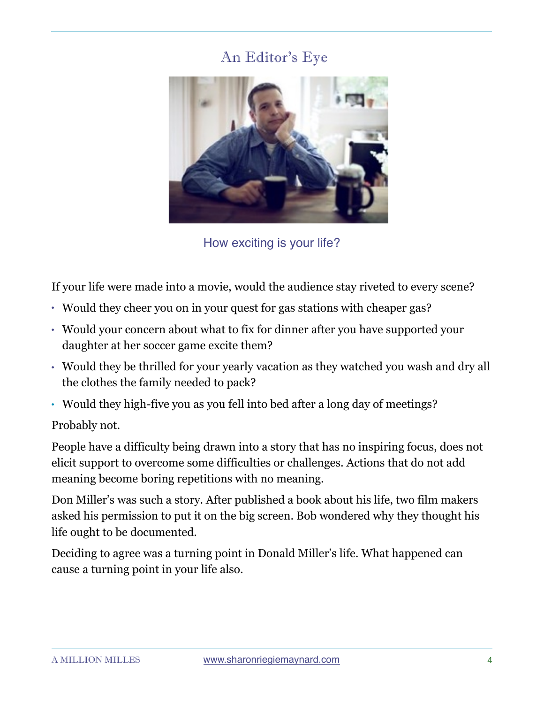# An Editor's Eye



How exciting is your life?

If your life were made into a movie, would the audience stay riveted to every scene?

- Would they cheer you on in your quest for gas stations with cheaper gas?
- Would your concern about what to fix for dinner after you have supported your daughter at her soccer game excite them?
- Would they be thrilled for your yearly vacation as they watched you wash and dry all the clothes the family needed to pack?
- Would they high-five you as you fell into bed after a long day of meetings?

#### Probably not.

People have a difficulty being drawn into a story that has no inspiring focus, does not elicit support to overcome some difficulties or challenges. Actions that do not add meaning become boring repetitions with no meaning.

Don Miller's was such a story. After published a book about his life, two film makers asked his permission to put it on the big screen. Bob wondered why they thought his life ought to be documented.

Deciding to agree was a turning point in Donald Miller's life. What happened can cause a turning point in your life also.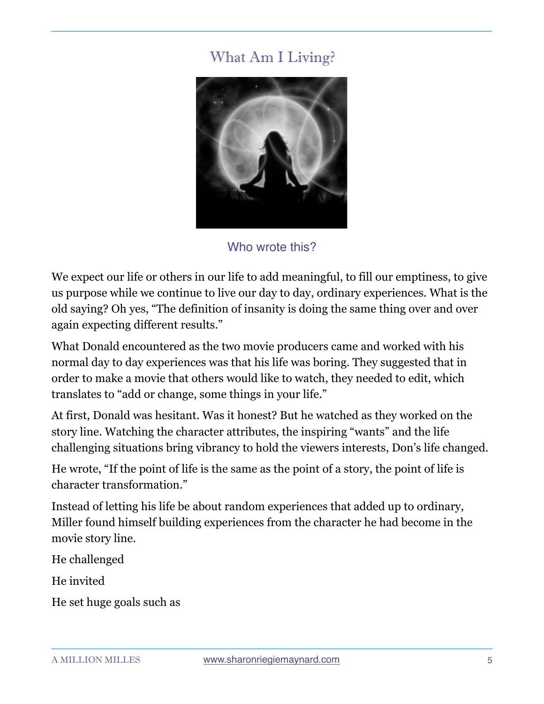## What Am I Living?



Who wrote this?

We expect our life or others in our life to add meaningful, to fill our emptiness, to give us purpose while we continue to live our day to day, ordinary experiences. What is the old saying? Oh yes, "The definition of insanity is doing the same thing over and over again expecting different results."

What Donald encountered as the two movie producers came and worked with his normal day to day experiences was that his life was boring. They suggested that in order to make a movie that others would like to watch, they needed to edit, which translates to "add or change, some things in your life."

At first, Donald was hesitant. Was it honest? But he watched as they worked on the story line. Watching the character attributes, the inspiring "wants" and the life challenging situations bring vibrancy to hold the viewers interests, Don's life changed.

He wrote, "If the point of life is the same as the point of a story, the point of life is character transformation."

Instead of letting his life be about random experiences that added up to ordinary, Miller found himself building experiences from the character he had become in the movie story line.

He challenged

He invited

He set huge goals such as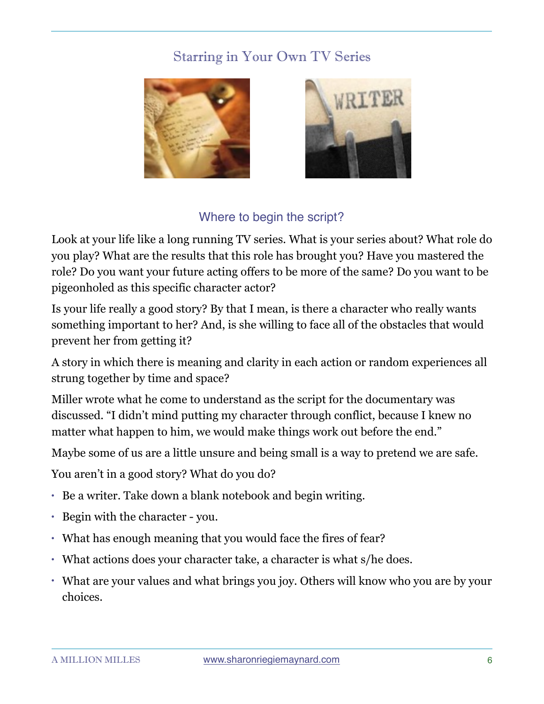### Starring in Your Own TV Series





#### Where to begin the script?

Look at your life like a long running TV series. What is your series about? What role do you play? What are the results that this role has brought you? Have you mastered the role? Do you want your future acting offers to be more of the same? Do you want to be pigeonholed as this specific character actor?

Is your life really a good story? By that I mean, is there a character who really wants something important to her? And, is she willing to face all of the obstacles that would prevent her from getting it?

A story in which there is meaning and clarity in each action or random experiences all strung together by time and space?

Miller wrote what he come to understand as the script for the documentary was discussed. "I didn't mind putting my character through conflict, because I knew no matter what happen to him, we would make things work out before the end."

Maybe some of us are a little unsure and being small is a way to pretend we are safe.

You aren't in a good story? What do you do?

- Be a writer. Take down a blank notebook and begin writing.
- Begin with the character you.
- What has enough meaning that you would face the fires of fear?
- What actions does your character take, a character is what s/he does.
- What are your values and what brings you joy. Others will know who you are by your choices.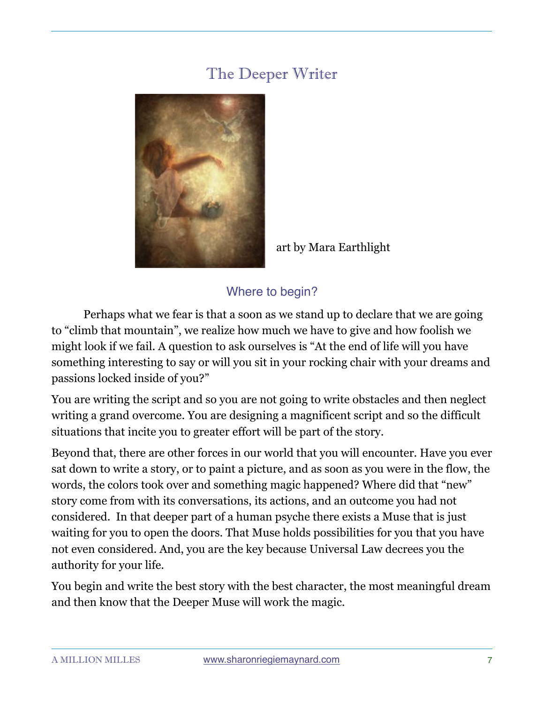# The Deeper Writer



art by Mara Earthlight

#### Where to begin?

 Perhaps what we fear is that a soon as we stand up to declare that we are going to "climb that mountain", we realize how much we have to give and how foolish we might look if we fail. A question to ask ourselves is "At the end of life will you have something interesting to say or will you sit in your rocking chair with your dreams and passions locked inside of you?"

You are writing the script and so you are not going to write obstacles and then neglect writing a grand overcome. You are designing a magnificent script and so the difficult situations that incite you to greater effort will be part of the story.

Beyond that, there are other forces in our world that you will encounter. Have you ever sat down to write a story, or to paint a picture, and as soon as you were in the flow, the words, the colors took over and something magic happened? Where did that "new" story come from with its conversations, its actions, and an outcome you had not considered. In that deeper part of a human psyche there exists a Muse that is just waiting for you to open the doors. That Muse holds possibilities for you that you have not even considered. And, you are the key because Universal Law decrees you the authority for your life.

You begin and write the best story with the best character, the most meaningful dream and then know that the Deeper Muse will work the magic.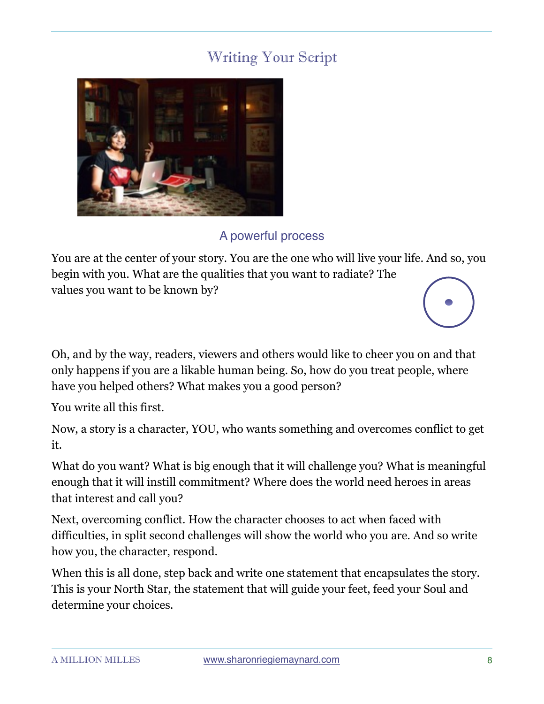# Writing Your Script



#### A powerful process

You are at the center of your story. You are the one who will live your life. And so, you begin with you. What are the qualities that you want to radiate? The values you want to be known by?

Oh, and by the way, readers, viewers and others would like to cheer you on and that only happens if you are a likable human being. So, how do you treat people, where have you helped others? What makes you a good person?

You write all this first.

Now, a story is a character, YOU, who wants something and overcomes conflict to get it.

What do you want? What is big enough that it will challenge you? What is meaningful enough that it will instill commitment? Where does the world need heroes in areas that interest and call you?

Next, overcoming conflict. How the character chooses to act when faced with difficulties, in split second challenges will show the world who you are. And so write how you, the character, respond.

When this is all done, step back and write one statement that encapsulates the story. This is your North Star, the statement that will guide your feet, feed your Soul and determine your choices.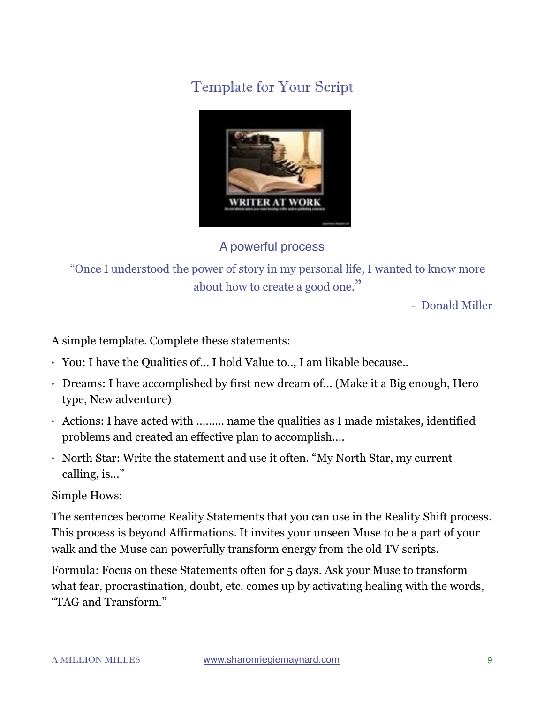# Template for Your Script



#### A powerful process

"Once I understood the power of story in my personal life, I wanted to know more about how to create a good one."

- Donald Miller

A simple template. Complete these statements:

- You: I have the Qualities of… I hold Value to.., I am likable because..
- Dreams: I have accomplished by first new dream of... (Make it a Big enough, Hero type, New adventure)
- Actions: I have acted with ……… name the qualities as I made mistakes, identified problems and created an effective plan to accomplish….
- North Star: Write the statement and use it often. "My North Star, my current calling, is…"

Simple Hows:

The sentences become Reality Statements that you can use in the Reality Shift process. This process is beyond Affirmations. It invites your unseen Muse to be a part of your walk and the Muse can powerfully transform energy from the old TV scripts.

Formula: Focus on these Statements often for 5 days. Ask your Muse to transform what fear, procrastination, doubt, etc. comes up by activating healing with the words, "TAG and Transform."